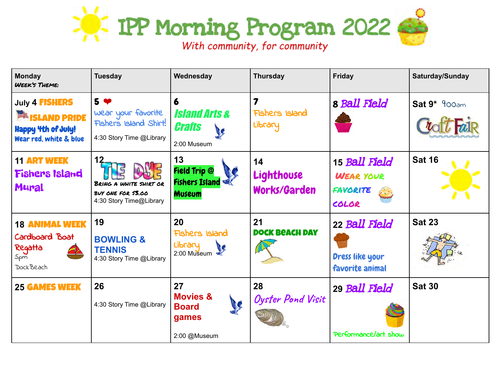

| Monday<br><b>WEEK'S THEME:</b>                                                                           | <b>Tuesday</b>                                                                            | Wednesday                                                           | <b>Thursday</b>                         | <b>Friday</b>                                          | Saturday/Sunday |
|----------------------------------------------------------------------------------------------------------|-------------------------------------------------------------------------------------------|---------------------------------------------------------------------|-----------------------------------------|--------------------------------------------------------|-----------------|
| July 4 <b>FISHERS</b><br><b>ISLAND PRIDE</b><br>■<br><b>Happy 4th of July!</b><br>Wear red, white & blue | 5 <sup>4</sup><br>Wear your favorite<br>Fishers Island Shirt!<br>4:30 Story Time @Library | 6<br><i><b>Island Arts &amp;</b></i><br>Crafts<br>2:00 Museum       | Fishers Island<br>Library               | 8 Ball Field                                           | $Sat 9* 900am$  |
| <b>11 ART WEEK</b><br><b>Fishers Island</b><br><b>Mural</b>                                              | BRING A WHITE SHIRT OR<br>BUY ONE FOR \$3.00<br>4:30 Story Time@Library                   | 13<br><b>Field Trip @</b><br><b>Fishers Island</b><br><b>Museum</b> | 14<br>Lighthouse<br><b>Works/Garden</b> | 15 Ball Field<br><b>WEAR YOUR</b><br>FAVORITE<br>COLOR | <b>Sat 16</b>   |
| <b>18 ANIMAL WEEK</b><br>Cardboard Boat<br>Regatta<br>5pm<br>Dock Beach                                  | 19<br><b>BOWLING &amp;</b><br><b>TENNIS</b><br>4:30 Story Time @Library                   | 20<br>Fishers Island<br>Library<br>R<br>2:00 Museum                 | 21<br><b>DOCK BEACH DAY</b>             | 22 Ball Field<br>Dress like your<br>favorite animal    | <b>Sat 23</b>   |
| <b>25 GAMES WEEK</b>                                                                                     | 26<br>4:30 Story Time @Library                                                            | 27<br><b>Movies &amp;</b><br><b>Board</b><br>games<br>2:00 @Museum  | 28<br><b>Oyster Pond Visit</b>          | 29 Ball Field<br>Performance/art show                  | <b>Sat 30</b>   |